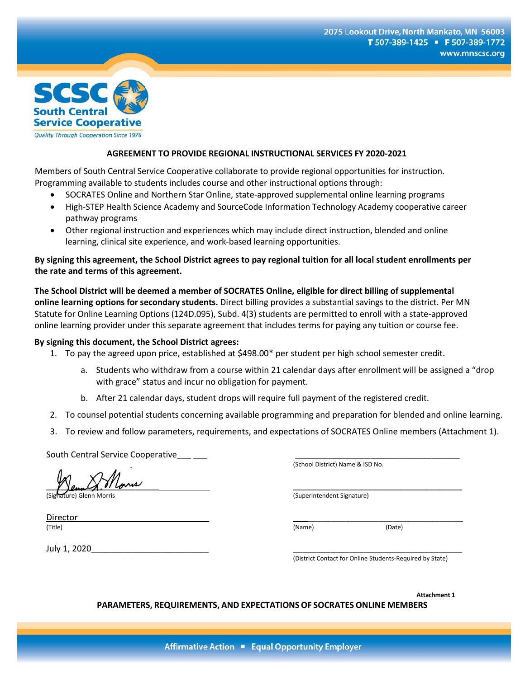

## **AGREEMENT TO PROVIDE REGIONAL INSTRUCTIONAL SERVICES FY 2020-2021**

Members of South Central Service Cooperative collaborate to provide regional opportunities for instruction. Programming available to students includes course and other instructional options through:

- SOCRATES Online and Northern Star Online, state-approved supplemental online learning programs
- High-STEP Health Science Academy and SourceCode Information Technology Academy cooperative career pathway programs
- Other regional instruction and experiences which may include direct instruction, blended and online learning, clinical site experience, and work-based learning opportunities.

**By signing this agreement, the School District agrees to pay regional tuition for all local student enrollments per the rate and terms of this agreement.** 

**The School District will be deemed a member of SOCRATES Online, eligible for direct billing of supplemental online learning options for secondary students.** Direct billing provides a substantial savings to the district. Per MN Statute for Online Learning Options (124D.095), Subd. 4(3) students are permitted to enroll with a state-approved online learning provider under this separate agreement that includes terms for paying any tuition or course fee.

## **By signing this document, the School District agrees:**

- 1. To pay the agreed upon price, established at \$498.00\* per student per high school semester credit.
	- a. Students who withdraw from a course within 21 calendar days after enrollment will be assigned a "drop with grace" status and incur no obligation for payment.
	- b. After 21 calendar days, student drops will require full payment of the registered credit.
- 2. To counsel potential students concerning available programming and preparation for blended and online learning.
- 3. To review and follow parameters, requirements, and expectations of SOCRATES Online members (Attachment 1).

South Central Service Cooperative

 $\gamma$  ) and  $\gamma$  . It comes

(Signature) Glenn Morris (Superintendent Signature)

(School District) Name & ISD No.

(District Contact for Online Students-Required by State)

**Attachment 1**

**PARAMETERS, REQUIREMENTS, AND EXPECTATIONSOF SOCRATES ONLINE MEMBERS**

Affirmative Action • Equal Opportunity Employer

(Title) (Name) (Date)

Director\_\_\_\_\_\_\_\_\_\_\_\_\_\_\_\_\_\_\_\_\_\_\_\_\_\_\_\_ \_\_\_\_\_\_\_\_\_\_\_\_\_\_\_\_\_\_\_\_\_\_\_\_\_\_\_\_\_\_\_\_\_

July 1, 2020\_\_\_\_\_\_\_\_\_\_\_\_\_\_\_\_\_\_\_\_\_\_\_\_\_ \_\_\_\_\_\_\_\_\_\_\_\_\_\_\_\_\_\_\_\_\_\_\_\_\_\_\_\_\_\_\_\_\_\_\_\_